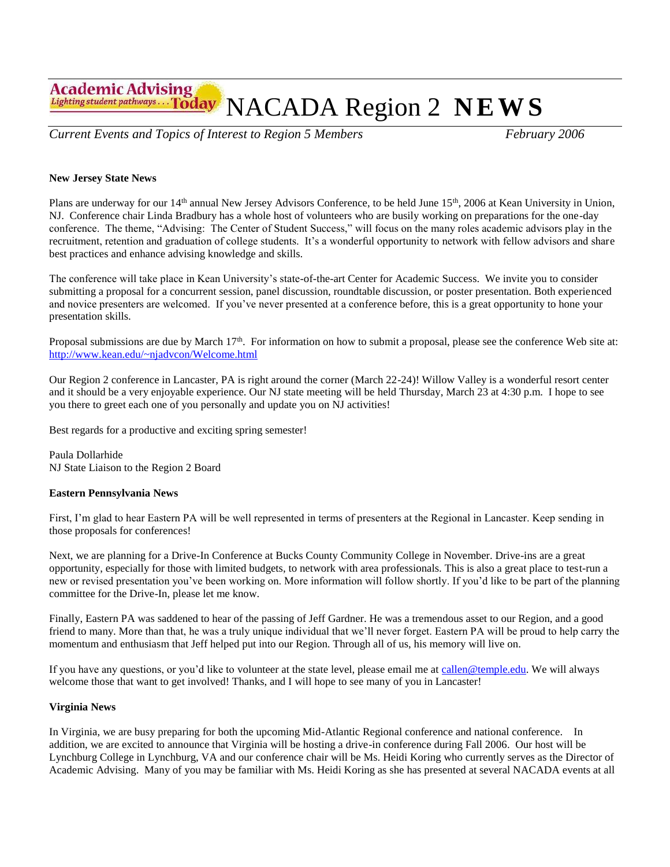Lighting student pathways...Today NACADA Region 2 NEWS *Current Events and Topics of Interest to Region 5 Members* February 2006

# **New Jersey State News**

Academic Advising

Plans are underway for our 14<sup>th</sup> annual New Jersey Advisors Conference, to be held June 15<sup>th</sup>, 2006 at Kean University in Union, NJ. Conference chair Linda Bradbury has a whole host of volunteers who are busily working on preparations for the one-day conference. The theme, "Advising: The Center of Student Success," will focus on the many roles academic advisors play in the recruitment, retention and graduation of college students. It's a wonderful opportunity to network with fellow advisors and share best practices and enhance advising knowledge and skills.

The conference will take place in Kean University's state-of-the-art Center for Academic Success. We invite you to consider submitting a proposal for a concurrent session, panel discussion, roundtable discussion, or poster presentation. Both experienced and novice presenters are welcomed. If you've never presented at a conference before, this is a great opportunity to hone your presentation skills.

Proposal submissions are due by March  $17<sup>th</sup>$ . For information on how to submit a proposal, please see the conference Web site at: <http://www.kean.edu/~njadvcon/Welcome.html>

Our Region 2 conference in Lancaster, PA is right around the corner (March 22-24)! Willow Valley is a wonderful resort center and it should be a very enjoyable experience. Our NJ state meeting will be held Thursday, March 23 at 4:30 p.m. I hope to see you there to greet each one of you personally and update you on NJ activities!

Best regards for a productive and exciting spring semester!

Paula Dollarhide NJ State Liaison to the Region 2 Board

## **Eastern Pennsylvania News**

First, I'm glad to hear Eastern PA will be well represented in terms of presenters at the Regional in Lancaster. Keep sending in those proposals for conferences!

Next, we are planning for a Drive-In Conference at Bucks County Community College in November. Drive-ins are a great opportunity, especially for those with limited budgets, to network with area professionals. This is also a great place to test-run a new or revised presentation you've been working on. More information will follow shortly. If you'd like to be part of the planning committee for the Drive-In, please let me know.

Finally, Eastern PA was saddened to hear of the passing of Jeff Gardner. He was a tremendous asset to our Region, and a good friend to many. More than that, he was a truly unique individual that we'll never forget. Eastern PA will be proud to help carry the momentum and enthusiasm that Jeff helped put into our Region. Through all of us, his memory will live on.

If you have any questions, or you'd like to volunteer at the state level, please email me at [callen@temple.edu.](mailto:callen@temple.edu) We will always welcome those that want to get involved! Thanks, and I will hope to see many of you in Lancaster!

## **Virginia News**

In Virginia, we are busy preparing for both the upcoming Mid-Atlantic Regional conference and national conference. In addition, we are excited to announce that Virginia will be hosting a drive-in conference during Fall 2006. Our host will be Lynchburg College in Lynchburg, VA and our conference chair will be Ms. Heidi Koring who currently serves as the Director of Academic Advising. Many of you may be familiar with Ms. Heidi Koring as she has presented at several NACADA events at all